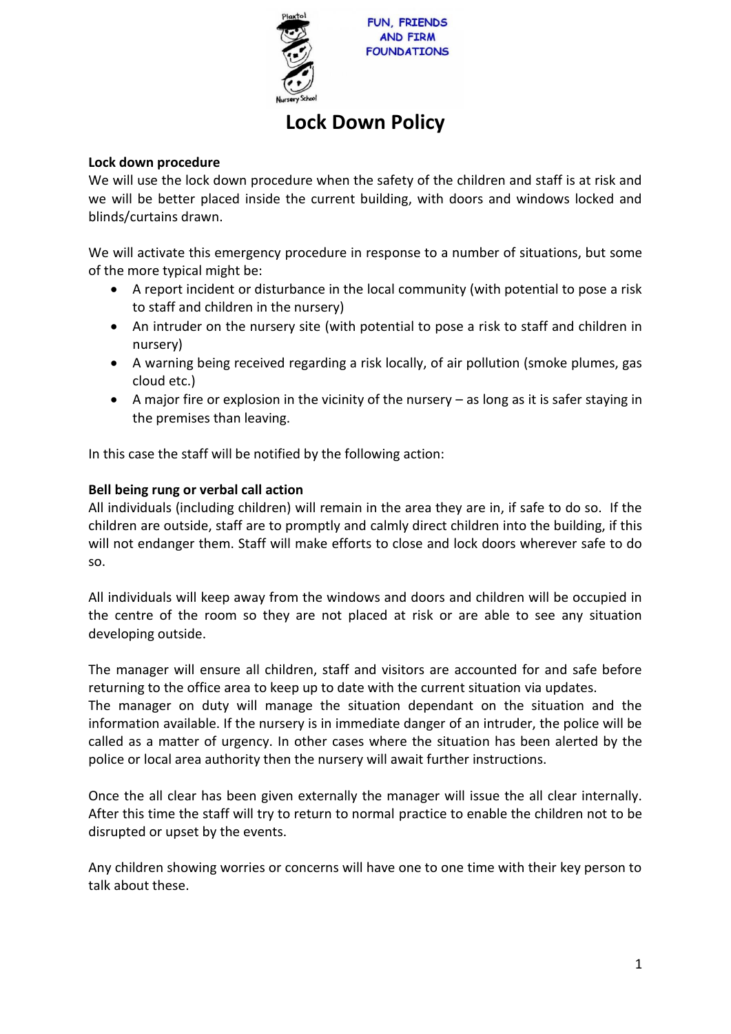

# **Lock Down Policy**

#### **Lock down procedure**

We will use the lock down procedure when the safety of the children and staff is at risk and we will be better placed inside the current building, with doors and windows locked and blinds/curtains drawn.

We will activate this emergency procedure in response to a number of situations, but some of the more typical might be:

- A report incident or disturbance in the local community (with potential to pose a risk to staff and children in the nursery)
- An intruder on the nursery site (with potential to pose a risk to staff and children in nursery)
- A warning being received regarding a risk locally, of air pollution (smoke plumes, gas cloud etc.)
- A major fire or explosion in the vicinity of the nursery as long as it is safer staying in the premises than leaving.

In this case the staff will be notified by the following action:

#### **Bell being rung or verbal call action**

All individuals (including children) will remain in the area they are in, if safe to do so. If the children are outside, staff are to promptly and calmly direct children into the building, if this will not endanger them. Staff will make efforts to close and lock doors wherever safe to do so.

All individuals will keep away from the windows and doors and children will be occupied in the centre of the room so they are not placed at risk or are able to see any situation developing outside.

The manager will ensure all children, staff and visitors are accounted for and safe before returning to the office area to keep up to date with the current situation via updates. The manager on duty will manage the situation dependant on the situation and the information available. If the nursery is in immediate danger of an intruder, the police will be called as a matter of urgency. In other cases where the situation has been alerted by the police or local area authority then the nursery will await further instructions.

Once the all clear has been given externally the manager will issue the all clear internally. After this time the staff will try to return to normal practice to enable the children not to be disrupted or upset by the events.

Any children showing worries or concerns will have one to one time with their key person to talk about these.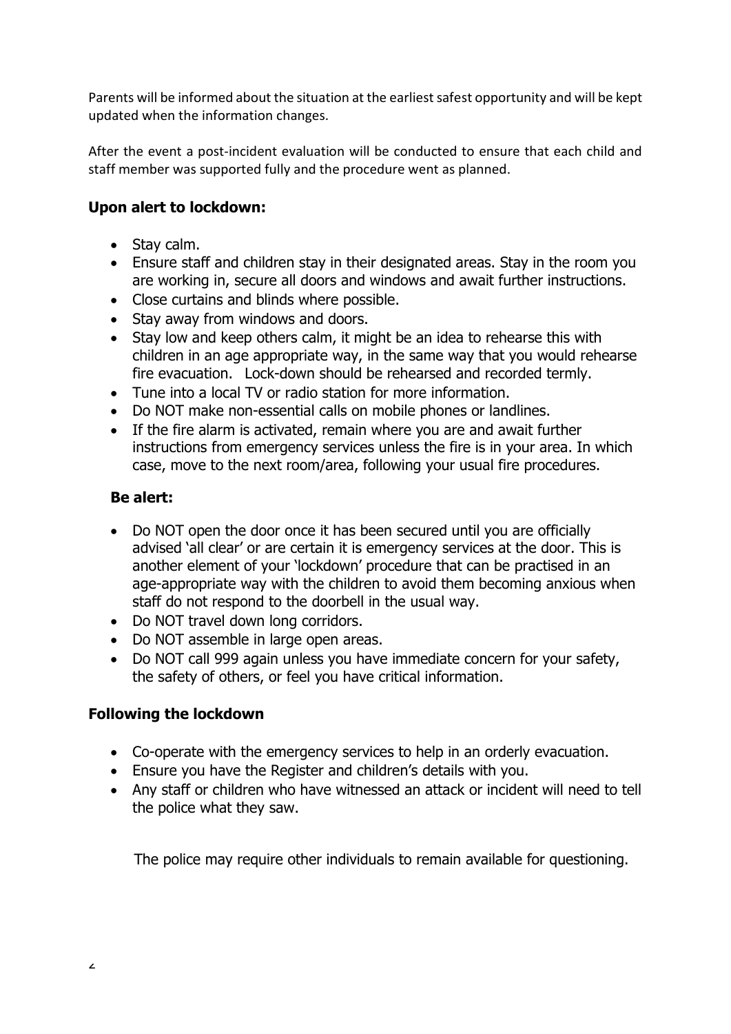Parents will be informed about the situation at the earliest safest opportunity and will be kept updated when the information changes.

After the event a post-incident evaluation will be conducted to ensure that each child and staff member was supported fully and the procedure went as planned.

# **Upon alert to lockdown:**

- Stay calm.
- Ensure staff and children stay in their designated areas. Stay in the room you are working in, secure all doors and windows and await further instructions.
- Close curtains and blinds where possible.
- Stay away from windows and doors.
- Stay low and keep others calm, it might be an idea to rehearse this with children in an age appropriate way, in the same way that you would rehearse fire evacuation. Lock-down should be rehearsed and recorded termly.
- Tune into a local TV or radio station for more information.
- Do NOT make non-essential calls on mobile phones or landlines.
- If the fire alarm is activated, remain where you are and await further instructions from emergency services unless the fire is in your area. In which case, move to the next room/area, following your usual fire procedures.

#### **Be alert:**

- Do NOT open the door once it has been secured until you are officially advised 'all clear' or are certain it is emergency services at the door. This is another element of your 'lockdown' procedure that can be practised in an age-appropriate way with the children to avoid them becoming anxious when staff do not respond to the doorbell in the usual way.
- Do NOT travel down long corridors.
- Do NOT assemble in large open areas.
- Do NOT call 999 again unless you have immediate concern for your safety, the safety of others, or feel you have critical information.

## **Following the lockdown**

- Co-operate with the emergency services to help in an orderly evacuation.
- Ensure you have the Register and children's details with you.
- Any staff or children who have witnessed an attack or incident will need to tell the police what they saw.

The police may require other individuals to remain available for questioning.